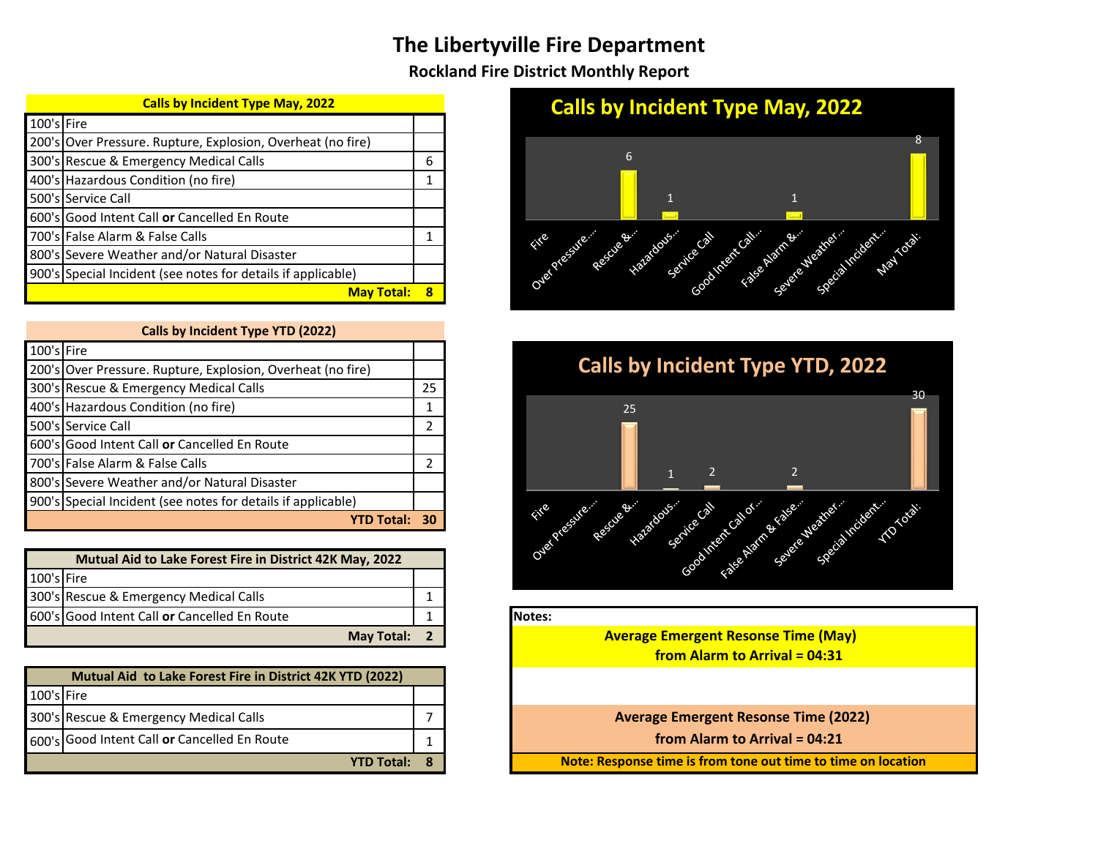## **The Libertyville Fire Department**

**Rockland Fire District Monthly Report** 

| <b>Calls by Incident Type May, 2022</b> |                                                             |   |  |  |  |  |
|-----------------------------------------|-------------------------------------------------------------|---|--|--|--|--|
| 100's Fire                              |                                                             |   |  |  |  |  |
|                                         | 200's Over Pressure. Rupture, Explosion, Overheat (no fire) |   |  |  |  |  |
|                                         | 300's Rescue & Emergency Medical Calls                      | 6 |  |  |  |  |
|                                         | 400's Hazardous Condition (no fire)                         |   |  |  |  |  |
|                                         | 500's Service Call                                          |   |  |  |  |  |
|                                         | 600's Good Intent Call or Cancelled En Route                |   |  |  |  |  |
|                                         |                                                             |   |  |  |  |  |

| <b>May Total:</b>                                            |  |  |  |  |  |  |
|--------------------------------------------------------------|--|--|--|--|--|--|
| 900's Special Incident (see notes for details if applicable) |  |  |  |  |  |  |
| 800's Severe Weather and/or Natural Disaster                 |  |  |  |  |  |  |
| 700's False Alarm & False Calls                              |  |  |  |  |  |  |
| 600's Good Intent Call or Cancelled En Route                 |  |  |  |  |  |  |
| 500's Service Call                                           |  |  |  |  |  |  |
| 400's Hazardous Condition (no fire)                          |  |  |  |  |  |  |
| 500 STRESCUE & ETHELISETICY MIEUICAL CAIDS                   |  |  |  |  |  |  |

| Calls by Incident Type YTD (2022) |                                                              |    |  |  |  |  |
|-----------------------------------|--------------------------------------------------------------|----|--|--|--|--|
| 100's Fire                        |                                                              |    |  |  |  |  |
|                                   | 200's Over Pressure. Rupture, Explosion, Overheat (no fire)  |    |  |  |  |  |
|                                   | 300's Rescue & Emergency Medical Calls                       | 25 |  |  |  |  |
|                                   | 400's Hazardous Condition (no fire)                          |    |  |  |  |  |
|                                   | 500's Service Call                                           | 2  |  |  |  |  |
|                                   | 600's Good Intent Call or Cancelled En Route                 |    |  |  |  |  |
|                                   | 700's False Alarm & False Calls                              | っ  |  |  |  |  |
|                                   | 800's Severe Weather and/or Natural Disaster                 |    |  |  |  |  |
|                                   | 900's Special Incident (see notes for details if applicable) |    |  |  |  |  |
| <b>YTD Total:</b>                 |                                                              |    |  |  |  |  |

| 100's Fire |                                              |  |         |
|------------|----------------------------------------------|--|---------|
|            | 300's Rescue & Emergency Medical Calls       |  |         |
|            | 600's Good Intent Call or Cancelled En Route |  | lNotes: |
|            | May Total:                                   |  |         |

| Mutual Aid to Lake Forest Fire in District 42K YTD (2022) |                                              |  |  |  |  |
|-----------------------------------------------------------|----------------------------------------------|--|--|--|--|
| 100's Fire                                                |                                              |  |  |  |  |
|                                                           | 300's Rescue & Emergency Medical Calls       |  |  |  |  |
|                                                           | 600's Good Intent Call or Cancelled En Route |  |  |  |  |
|                                                           | <b>YTD Total:</b>                            |  |  |  |  |

## **Calls by Incident Type May, 2022**





**Average Emergent Resonse Time (May) from Alarm to Arrival = 04:31**

**Average Emergent Resonse Time (2022)** 

from Alarm to Arrival = 04:21

**Note: Response time is from tone out time to time on location**